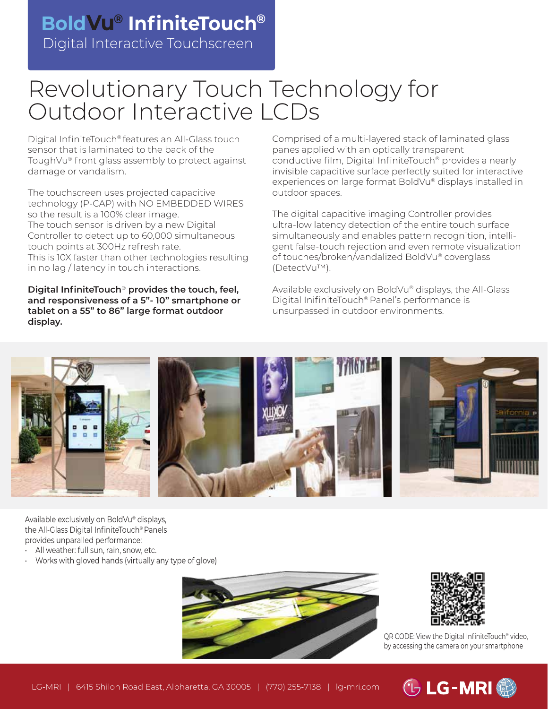## Digital Interactive Touchscreen **BoldVu® InfiniteTouch®**

# Revolutionary Touch Technology for Outdoor Interactive LCDs

Digital InfiniteTouch® features an All-Glass touch sensor that is laminated to the back of the ToughVu® front glass assembly to protect against damage or vandalism.

The touchscreen uses projected capacitive technology (P-CAP) with NO EMBEDDED WIRES so the result is a 100% clear image. The touch sensor is driven by a new Digital Controller to detect up to 60,000 simultaneous touch points at 300Hz refresh rate. This is 10X faster than other technologies resulting in no lag / latency in touch interactions.

**Digital InfiniteTouch**® **provides the touch, feel, and responsiveness of a 5"- 10" smartphone or tablet on a 55" to 86" large format outdoor display.**

Comprised of a multi-layered stack of laminated glass panes applied with an optically transparent conductive film, Digital InfiniteTouch® provides a nearly invisible capacitive surface perfectly suited for interactive experiences on large format BoldVu® displays installed in outdoor spaces.

The digital capacitive imaging Controller provides ultra-low latency detection of the entire touch surface simultaneously and enables pattern recognition, intelligent false-touch rejection and even remote visualization of touches/broken/vandalized BoldVu® coverglass (DetectVu™).

Available exclusively on BoldVu® displays, the All-Glass Digital InifiniteTouch® Panel's performance is unsurpassed in outdoor environments.



Available exclusively on BoldVu® displays, the All-Glass Digital InfiniteTouch® Panels provides unparalled performance:

- All weather: full sun, rain, snow, etc.
- Works with gloved hands (virtually any type of glove)





QR CODE: View the Digital InfiniteTouch<sup>®</sup> video, by accessing the camera on your smartphone